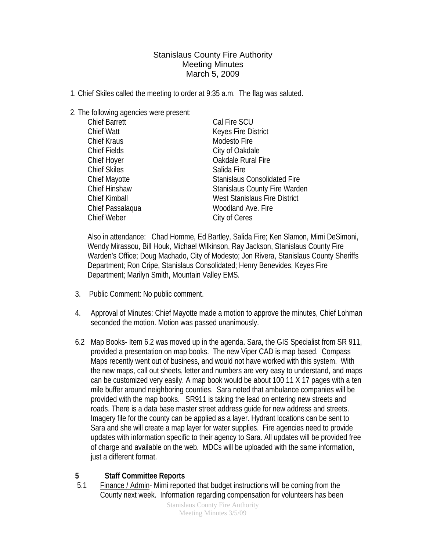Stanislaus County Fire Authority Meeting Minutes March 5, 2009

- 1. Chief Skiles called the meeting to order at 9:35 a.m. The flag was saluted.
- 2. The following agencies were present:

| <b>Chief Barrett</b> | Cal Fire SCU                         |
|----------------------|--------------------------------------|
| <b>Chief Watt</b>    | Keyes Fire District                  |
| <b>Chief Kraus</b>   | Modesto Fire                         |
| <b>Chief Fields</b>  | City of Oakdale                      |
| <b>Chief Hoyer</b>   | Oakdale Rural Fire                   |
| <b>Chief Skiles</b>  | Salida Fire                          |
| <b>Chief Mayotte</b> | <b>Stanislaus Consolidated Fire</b>  |
| <b>Chief Hinshaw</b> | <b>Stanislaus County Fire Warden</b> |
| <b>Chief Kimball</b> | <b>West Stanislaus Fire District</b> |
| Chief Passalaqua     | Woodland Ave. Fire                   |
| <b>Chief Weber</b>   | City of Ceres                        |

Also in attendance: Chad Homme, Ed Bartley, Salida Fire; Ken Slamon, Mimi DeSimoni, Wendy Mirassou, Bill Houk, Michael Wilkinson, Ray Jackson, Stanislaus County Fire Warden's Office; Doug Machado, City of Modesto; Jon Rivera, Stanislaus County Sheriffs Department; Ron Cripe, Stanislaus Consolidated; Henry Benevides, Keyes Fire Department; Marilyn Smith, Mountain Valley EMS.

- 3. Public Comment: No public comment.
- 4. Approval of Minutes: Chief Mayotte made a motion to approve the minutes, Chief Lohman seconded the motion. Motion was passed unanimously.
- 6.2 Map Books- Item 6.2 was moved up in the agenda. Sara, the GIS Specialist from SR 911, provided a presentation on map books. The new Viper CAD is map based. Compass Maps recently went out of business, and would not have worked with this system. With the new maps, call out sheets, letter and numbers are very easy to understand, and maps can be customized very easily. A map book would be about 100 11 X 17 pages with a ten mile buffer around neighboring counties. Sara noted that ambulance companies will be provided with the map books. SR911 is taking the lead on entering new streets and roads. There is a data base master street address guide for new address and streets. Imagery file for the county can be applied as a layer. Hydrant locations can be sent to Sara and she will create a map layer for water supplies. Fire agencies need to provide updates with information specific to their agency to Sara. All updates will be provided free of charge and available on the web. MDCs will be uploaded with the same information, just a different format.

## **5 Staff Committee Reports**

5.1 Finance / Admin- Mimi reported that budget instructions will be coming from the County next week. Information regarding compensation for volunteers has been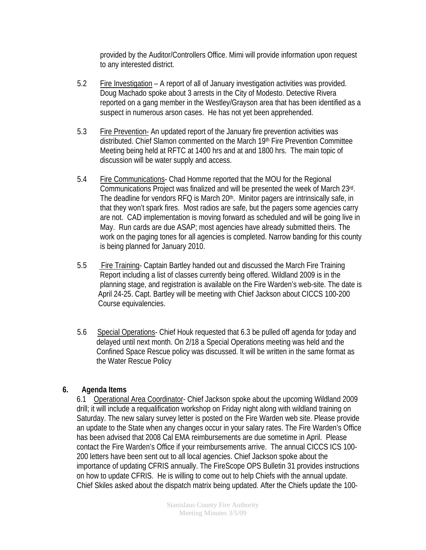provided by the Auditor/Controllers Office. Mimi will provide information upon request to any interested district.

- 5.2 Fire Investigation A report of all of January investigation activities was provided. Doug Machado spoke about 3 arrests in the City of Modesto. Detective Rivera reported on a gang member in the Westley/Grayson area that has been identified as a suspect in numerous arson cases. He has not yet been apprehended.
- 5.3 Fire Prevention- An updated report of the January fire prevention activities was distributed. Chief Slamon commented on the March 19<sup>th</sup> Fire Prevention Committee Meeting being held at RFTC at 1400 hrs and at and 1800 hrs. The main topic of discussion will be water supply and access.
- 5.4 Fire Communications- Chad Homme reported that the MOU for the Regional Communications Project was finalized and will be presented the week of March 23rd. The deadline for vendors RFQ is March 20<sup>th</sup>. Minitor pagers are intrinsically safe, in that they won't spark fires. Most radios are safe, but the pagers some agencies carry are not. CAD implementation is moving forward as scheduled and will be going live in May. Run cards are due ASAP; most agencies have already submitted theirs. The work on the paging tones for all agencies is completed. Narrow banding for this county is being planned for January 2010.
- 5.5 Fire Training- Captain Bartley handed out and discussed the March Fire Training Report including a list of classes currently being offered. Wildland 2009 is in the planning stage, and registration is available on the Fire Warden's web-site. The date is April 24-25. Capt. Bartley will be meeting with Chief Jackson about CICCS 100-200 Course equivalencies.
- 5.6 Special Operations- Chief Houk requested that 6.3 be pulled off agenda for today and delayed until next month. On 2/18 a Special Operations meeting was held and the Confined Space Rescue policy was discussed. It will be written in the same format as the Water Rescue Policy

## **6. Agenda Items**

6.1 Operational Area Coordinator- Chief Jackson spoke about the upcoming Wildland 2009 drill; it will include a requalification workshop on Friday night along with wildland training on Saturday. The new salary survey letter is posted on the Fire Warden web site. Please provide an update to the State when any changes occur in your salary rates. The Fire Warden's Office has been advised that 2008 Cal EMA reimbursements are due sometime in April. Please contact the Fire Warden's Office if your reimbursements arrive. The annual CICCS ICS 100- 200 letters have been sent out to all local agencies. Chief Jackson spoke about the importance of updating CFRIS annually. The FireScope OPS Bulletin 31 provides instructions on how to update CFRIS. He is willing to come out to help Chiefs with the annual update. Chief Skiles asked about the dispatch matrix being updated. After the Chiefs update the 100